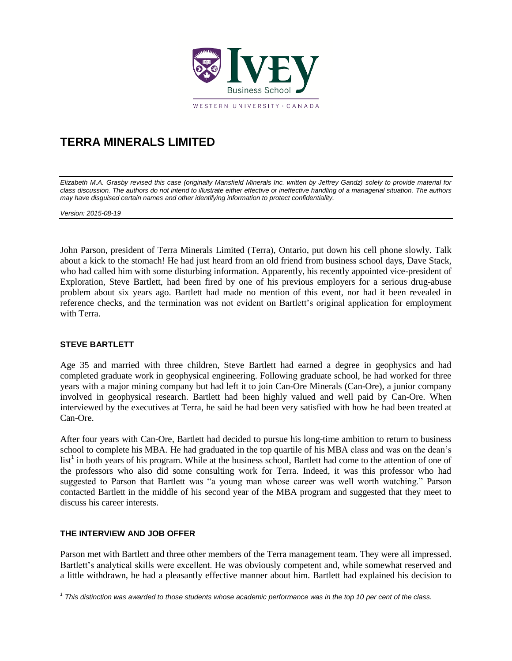

# **TERRA MINERALS LIMITED**

*Elizabeth M.A. Grasby revised this case (originally Mansfield Minerals Inc. written by Jeffrey Gandz) solely to provide material for class discussion. The authors do not intend to illustrate either effective or ineffective handling of a managerial situation. The authors may have disguised certain names and other identifying information to protect confidentiality.*

*Version: 2015-08-19*

John Parson, president of Terra Minerals Limited (Terra), Ontario, put down his cell phone slowly. Talk about a kick to the stomach! He had just heard from an old friend from business school days, Dave Stack, who had called him with some disturbing information. Apparently, his recently appointed vice-president of Exploration, Steve Bartlett, had been fired by one of his previous employers for a serious drug-abuse problem about six years ago. Bartlett had made no mention of this event, nor had it been revealed in reference checks, and the termination was not evident on Bartlett's original application for employment with Terra.

## **STEVE BARTLETT**

Age 35 and married with three children, Steve Bartlett had earned a degree in geophysics and had completed graduate work in geophysical engineering. Following graduate school, he had worked for three years with a major mining company but had left it to join Can-Ore Minerals (Can-Ore), a junior company involved in geophysical research. Bartlett had been highly valued and well paid by Can-Ore. When interviewed by the executives at Terra, he said he had been very satisfied with how he had been treated at Can-Ore.

After four years with Can-Ore, Bartlett had decided to pursue his long-time ambition to return to business school to complete his MBA. He had graduated in the top quartile of his MBA class and was on the dean's list<sup>1</sup> in both years of his program. While at the business school, Bartlett had come to the attention of one of the professors who also did some consulting work for Terra. Indeed, it was this professor who had suggested to Parson that Bartlett was "a young man whose career was well worth watching." Parson contacted Bartlett in the middle of his second year of the MBA program and suggested that they meet to discuss his career interests.

## **THE INTERVIEW AND JOB OFFER**

l

Parson met with Bartlett and three other members of the Terra management team. They were all impressed. Bartlett's analytical skills were excellent. He was obviously competent and, while somewhat reserved and a little withdrawn, he had a pleasantly effective manner about him. Bartlett had explained his decision to

*<sup>1</sup> This distinction was awarded to those students whose academic performance was in the top 10 per cent of the class.*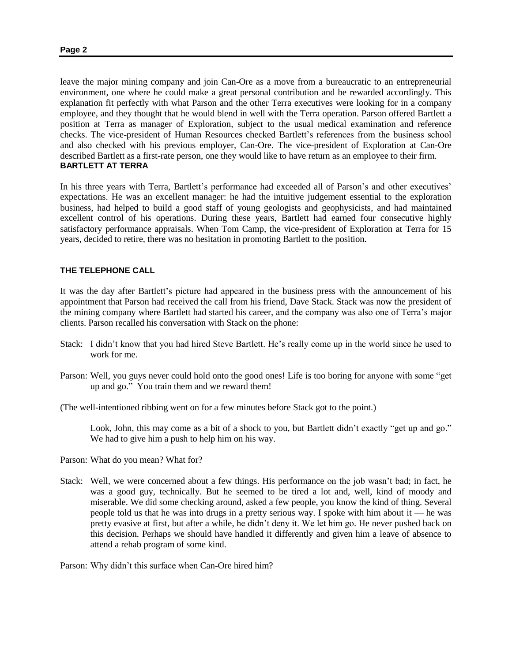leave the major mining company and join Can-Ore as a move from a bureaucratic to an entrepreneurial environment, one where he could make a great personal contribution and be rewarded accordingly. This explanation fit perfectly with what Parson and the other Terra executives were looking for in a company employee, and they thought that he would blend in well with the Terra operation. Parson offered Bartlett a position at Terra as manager of Exploration, subject to the usual medical examination and reference checks. The vice-president of Human Resources checked Bartlett's references from the business school and also checked with his previous employer, Can-Ore. The vice-president of Exploration at Can-Ore described Bartlett as a first-rate person, one they would like to have return as an employee to their firm. **BARTLETT AT TERRA**

In his three years with Terra, Bartlett's performance had exceeded all of Parson's and other executives' expectations. He was an excellent manager: he had the intuitive judgement essential to the exploration business, had helped to build a good staff of young geologists and geophysicists, and had maintained excellent control of his operations. During these years, Bartlett had earned four consecutive highly satisfactory performance appraisals. When Tom Camp, the vice-president of Exploration at Terra for 15 years, decided to retire, there was no hesitation in promoting Bartlett to the position.

#### **THE TELEPHONE CALL**

It was the day after Bartlett's picture had appeared in the business press with the announcement of his appointment that Parson had received the call from his friend, Dave Stack. Stack was now the president of the mining company where Bartlett had started his career, and the company was also one of Terra's major clients. Parson recalled his conversation with Stack on the phone:

- Stack: I didn't know that you had hired Steve Bartlett. He's really come up in the world since he used to work for me.
- Parson: Well, you guys never could hold onto the good ones! Life is too boring for anyone with some "get up and go." You train them and we reward them!

(The well-intentioned ribbing went on for a few minutes before Stack got to the point.)

Look, John, this may come as a bit of a shock to you, but Bartlett didn't exactly "get up and go." We had to give him a push to help him on his way.

Parson: What do you mean? What for?

Stack: Well, we were concerned about a few things. His performance on the job wasn't bad; in fact, he was a good guy, technically. But he seemed to be tired a lot and, well, kind of moody and miserable. We did some checking around, asked a few people, you know the kind of thing. Several people told us that he was into drugs in a pretty serious way. I spoke with him about it –– he was pretty evasive at first, but after a while, he didn't deny it. We let him go. He never pushed back on this decision. Perhaps we should have handled it differently and given him a leave of absence to attend a rehab program of some kind.

Parson: Why didn't this surface when Can-Ore hired him?